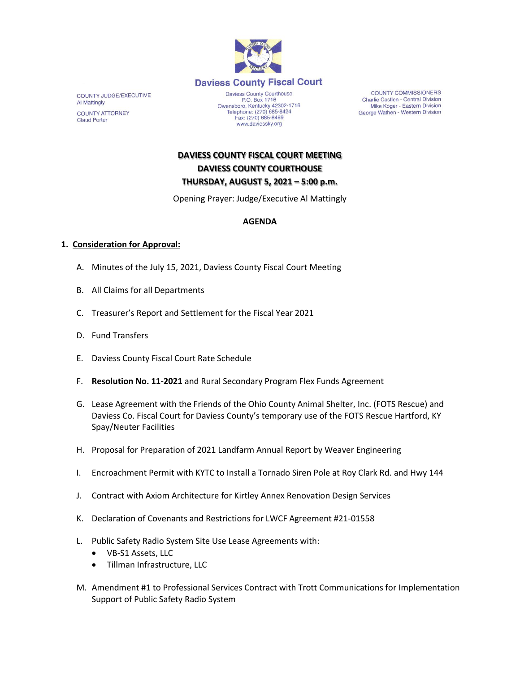

COUNTY JUDGE/EXECUTIVE Al Mattingly **COUNTY ATTORNEY Claud Porter** 

P.O. Box 1716<br>Owensboro, Kentucky 42302-1716<br>Telephone: (270) 685-8424 Fax: (270) 685-8469 www.daviessky.org

**COUNTY COMMISSIONERS** Charlie Castlen - Central Division Mike Koger - Eastern Division George Wathen - Western Division

**DAVIESS COUNTY FISCAL COURT MEETING DAVIESS COUNTY COURTHOUSE THURSDAY, AUGUST 5, 2021 – 5:00 p.m.** 

Opening Prayer: Judge/Executive Al Mattingly

# **AGENDA**

### **1. Consideration for Approval:**

- A. Minutes of the July 15, 2021, Daviess County Fiscal Court Meeting
- B. All Claims for all Departments
- C. Treasurer's Report and Settlement for the Fiscal Year 2021
- D. Fund Transfers
- E. Daviess County Fiscal Court Rate Schedule
- F. **Resolution No. 11-2021** and Rural Secondary Program Flex Funds Agreement
- G. Lease Agreement with the Friends of the Ohio County Animal Shelter, Inc. (FOTS Rescue) and Daviess Co. Fiscal Court for Daviess County's temporary use of the FOTS Rescue Hartford, KY Spay/Neuter Facilities
- H. Proposal for Preparation of 2021 Landfarm Annual Report by Weaver Engineering
- I. Encroachment Permit with KYTC to Install a Tornado Siren Pole at Roy Clark Rd. and Hwy 144
- J. Contract with Axiom Architecture for Kirtley Annex Renovation Design Services
- K. Declaration of Covenants and Restrictions for LWCF Agreement #21-01558
- L. Public Safety Radio System Site Use Lease Agreements with:
	- VB-S1 Assets, LLC
	- Tillman Infrastructure, LLC
- M. Amendment #1 to Professional Services Contract with Trott Communications for Implementation Support of Public Safety Radio System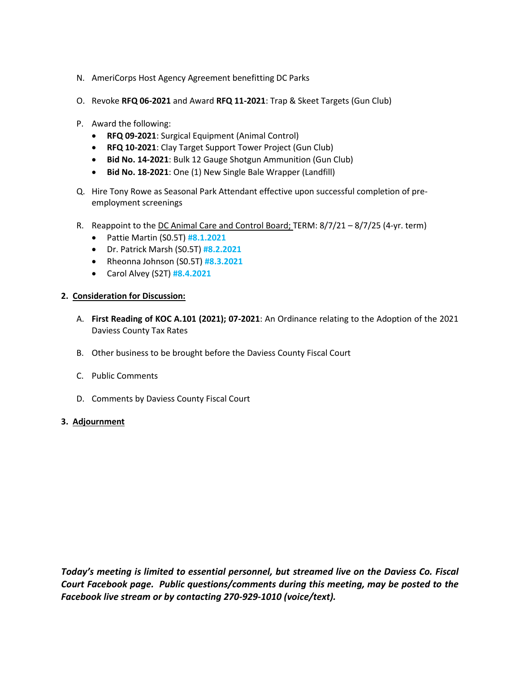- N. AmeriCorps Host Agency Agreement benefitting DC Parks
- O. Revoke **RFQ 06-2021** and Award **RFQ 11-2021**: Trap & Skeet Targets (Gun Club)
- P. Award the following:
	- **RFQ 09-2021**: Surgical Equipment (Animal Control)
	- **RFQ 10-2021**: Clay Target Support Tower Project (Gun Club)
	- **Bid No. 14-2021**: Bulk 12 Gauge Shotgun Ammunition (Gun Club)
	- **Bid No. 18-2021**: One (1) New Single Bale Wrapper (Landfill)
- Q. Hire Tony Rowe as Seasonal Park Attendant effective upon successful completion of preemployment screenings
- R. Reappoint to the DC Animal Care and Control Board; TERM: 8/7/21 8/7/25 (4-yr. term)
	- Pattie Martin (S0.5T) **#8.1.2021**
	- Dr. Patrick Marsh (S0.5T) **#8.2.2021**
	- Rheonna Johnson (S0.5T) **#8.3.2021**
	- Carol Alvey (S2T) **#8.4.2021**

### **2. Consideration for Discussion:**

- A. **First Reading of KOC A.101 (2021); 07-2021**: An Ordinance relating to the Adoption of the 2021 Daviess County Tax Rates
- B. Other business to be brought before the Daviess County Fiscal Court
- C. Public Comments
- D. Comments by Daviess County Fiscal Court

### **3. Adjournment**

*Today's meeting is limited to essential personnel, but streamed live on the Daviess Co. Fiscal Court Facebook page. Public questions/comments during this meeting, may be posted to the Facebook live stream or by contacting 270-929-1010 (voice/text).*